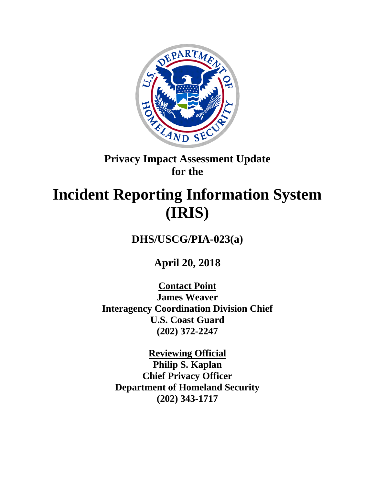

# **Privacy Impact Assessment Update for the**

# **Incident Reporting Information System (IRIS)**

**DHS/USCG/PIA-023(a)**

**April 20, 2018**

**Contact Point James Weaver Interagency Coordination Division Chief U.S. Coast Guard (202) 372-2247**

**Reviewing Official Philip S. Kaplan Chief Privacy Officer Department of Homeland Security (202) 343-1717**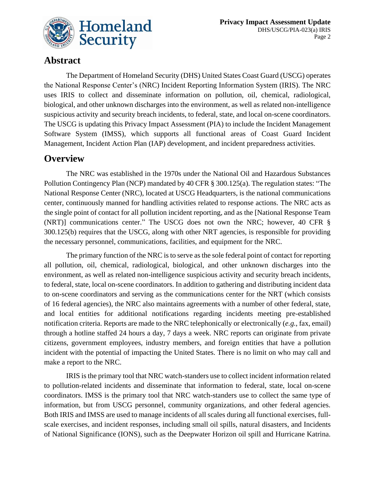

# **Abstract**

The Department of Homeland Security (DHS) United States Coast Guard (USCG) operates the National Response Center's (NRC) Incident Reporting Information System (IRIS). The NRC uses IRIS to collect and disseminate information on pollution, oil, chemical, radiological, biological, and other unknown discharges into the environment, as well as related non-intelligence suspicious activity and security breach incidents, to federal, state, and local on-scene coordinators. The USCG is updating this Privacy Impact Assessment (PIA) to include the Incident Management Software System (IMSS), which supports all functional areas of Coast Guard Incident Management, Incident Action Plan (IAP) development, and incident preparedness activities.

# **Overview**

The NRC was established in the 1970s under the National Oil and Hazardous Substances Pollution Contingency Plan (NCP) mandated by 40 CFR § 300.125(a). The regulation states: "The National Response Center (NRC), located at USCG Headquarters, is the national communications center, continuously manned for handling activities related to response actions. The NRC acts as the single point of contact for all pollution incident reporting, and as the [National Response Team (NRT)] communications center." The USCG does not own the NRC; however, 40 CFR § 300.125(b) requires that the USCG, along with other NRT agencies, is responsible for providing the necessary personnel, communications, facilities, and equipment for the NRC.

The primary function of the NRC is to serve as the sole federal point of contact for reporting all pollution, oil, chemical, radiological, biological, and other unknown discharges into the environment, as well as related non-intelligence suspicious activity and security breach incidents, to federal, state, local on-scene coordinators. In addition to gathering and distributing incident data to on-scene coordinators and serving as the communications center for the NRT (which consists of 16 federal agencies), the NRC also maintains agreements with a number of other federal, state, and local entities for additional notifications regarding incidents meeting pre-established notification criteria. Reports are made to the NRC telephonically or electronically (*e.g.*, fax, email) through a hotline staffed 24 hours a day, 7 days a week. NRC reports can originate from private citizens, government employees, industry members, and foreign entities that have a pollution incident with the potential of impacting the United States. There is no limit on who may call and make a report to the NRC.

IRIS is the primary tool that NRC watch-standers use to collect incident information related to pollution-related incidents and disseminate that information to federal, state, local on-scene coordinators. IMSS is the primary tool that NRC watch-standers use to collect the same type of information, but from USCG personnel, community organizations, and other federal agencies. Both IRIS and IMSS are used to manage incidents of all scales during all functional exercises, fullscale exercises, and incident responses, including small oil spills, natural disasters, and Incidents of National Significance (IONS), such as the Deepwater Horizon oil spill and Hurricane Katrina.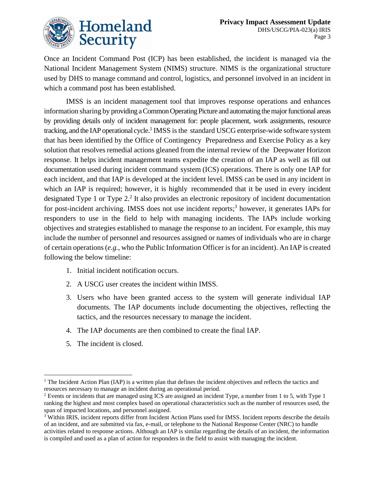

Once an Incident Command Post (ICP) has been established, the incident is managed via the National Incident Management System (NIMS) structure. NIMS is the organizational structure used by DHS to manage command and control, logistics, and personnel involved in an incident in which a command post has been established.

IMSS is an incident management tool that improves response operations and enhances information sharing by providing a Common Operating Picture and automating the major functional areas by providing details only of incident management for: people placement, work assignments, resource tracking, and the IAP operational cycle.<sup>1</sup> IMSS is the standard USCG enterprise-wide software system that has been identified by the Office of Contingency Preparedness and Exercise Policy as a key solution that resolves remedial actions gleaned from the internal review of the Deepwater Horizon response. It helps incident management teams expedite the creation of an IAP as well as fill out documentation used during incident command system (ICS) operations. There is only one IAP for each incident, and that IAP is developed at the incident level. IMSS can be used in any incident in which an IAP is required; however, it is highly recommended that it be used in every incident designated Type 1 or Type 2.<sup>2</sup> It also provides an electronic repository of incident documentation for post-incident archiving. IMSS does not use incident reports; <sup>3</sup> however, it generates IAPs for responders to use in the field to help with managing incidents. The IAPs include working objectives and strategies established to manage the response to an incident. For example, this may include the number of personnel and resources assigned or names of individuals who are in charge of certain operations (*e.g.*, who the Public Information Officer is for an incident). An IAP is created following the below timeline:

- 1. Initial incident notification occurs.
- 2. A USCG user creates the incident within IMSS.
- 3. Users who have been granted access to the system will generate individual IAP documents. The IAP documents include documenting the objectives, reflecting the tactics, and the resources necessary to manage the incident.
- 4. The IAP documents are then combined to create the final IAP.
- 5. The incident is closed.

<sup>1</sup> <sup>1</sup> The Incident Action Plan (IAP) is a written plan that defines the incident objectives and reflects the tactics and resources necessary to manage an incident during an operational period.

<sup>&</sup>lt;sup>2</sup> Events or incidents that are managed using ICS are assigned an incident Type, a number from 1 to 5, with Type 1 ranking the highest and most complex based on operational characteristics such as the number of resources used, the span of impacted locations, and personnel assigned.

<sup>&</sup>lt;sup>3</sup> Within IRIS, incident reports differ from Incident Action Plans used for IMSS. Incident reports describe the details of an incident, and are submitted via fax, e-mail, or telephone to the National Response Center (NRC) to handle activities related to response actions. Although an IAP is similar regarding the details of an incident, the information is compiled and used as a plan of action for responders in the field to assist with managing the incident.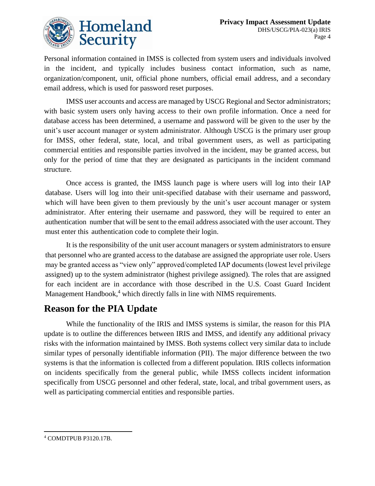

Personal information contained in IMSS is collected from system users and individuals involved in the incident, and typically includes business contact information, such as name, organization/component, unit, official phone numbers, official email address, and a secondary email address, which is used for password reset purposes.

IMSS user accounts and access are managed by USCG Regional and Sector administrators; with basic system users only having access to their own profile information. Once a need for database access has been determined, a username and password will be given to the user by the unit's user account manager or system administrator. Although USCG is the primary user group for IMSS, other federal, state, local, and tribal government users, as well as participating commercial entities and responsible parties involved in the incident, may be granted access, but only for the period of time that they are designated as participants in the incident command structure.

Once access is granted, the IMSS launch page is where users will log into their IAP database. Users will log into their unit-specified database with their username and password, which will have been given to them previously by the unit's user account manager or system administrator. After entering their username and password, they will be required to enter an authentication number that will be sent to the email address associated with the user account. They must enter this authentication code to complete their login.

It is the responsibility of the unit user account managers or system administrators to ensure that personnel who are granted access to the database are assigned the appropriate user role. Users may be granted access as "view only" approved/completed IAP documents (lowest level privilege assigned) up to the system administrator (highest privilege assigned). The roles that are assigned for each incident are in accordance with those described in the U.S. Coast Guard Incident Management Handbook,<sup>4</sup> which directly falls in line with NIMS requirements.

# **Reason for the PIA Update**

While the functionality of the IRIS and IMSS systems is similar, the reason for this PIA update is to outline the differences between IRIS and IMSS, and identify any additional privacy risks with the information maintained by IMSS. Both systems collect very similar data to include similar types of personally identifiable information (PII). The major difference between the two systems is that the information is collected from a different population. IRIS collects information on incidents specifically from the general public, while IMSS collects incident information specifically from USCG personnel and other federal, state, local, and tribal government users, as well as participating commercial entities and responsible parties.

 $\overline{a}$ 

<sup>4</sup> COMDTPUB P3120.17B.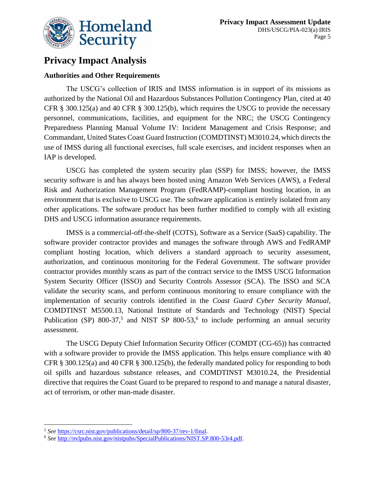

# **Privacy Impact Analysis**

## **Authorities and Other Requirements**

The USCG's collection of IRIS and IMSS information is in support of its missions as authorized by the National Oil and Hazardous Substances Pollution Contingency Plan, cited at 40 CFR  $\S$  300.125(a) and 40 CFR  $\S$  300.125(b), which requires the USCG to provide the necessary personnel, communications, facilities, and equipment for the NRC; the USCG Contingency Preparedness Planning Manual Volume IV: Incident Management and Crisis Response; and Commandant, United States Coast Guard Instruction (COMDTINST) M3010.24,which directs the use of IMSS during all functional exercises, full scale exercises, and incident responses when an IAP is developed.

USCG has completed the system security plan (SSP) for IMSS; however, the IMSS security software is and has always been hosted using Amazon Web Services (AWS), a Federal Risk and Authorization Management Program (FedRAMP)-compliant hosting location, in an environment that is exclusive to USCG use. The software application is entirely isolated from any other applications. The software product has been further modified to comply with all existing DHS and USCG information assurance requirements.

IMSS is a commercial-off-the-shelf (COTS), Software as a Service (SaaS) capability. The software provider contractor provides and manages the software through AWS and FedRAMP compliant hosting location, which delivers a standard approach to security assessment, authorization, and continuous monitoring for the Federal Government. The software provider contractor provides monthly scans as part of the contract service to the IMSS USCG Information System Security Officer (ISSO) and Security Controls Assessor (SCA). The ISSO and SCA validate the security scans, and perform continuous monitoring to ensure compliance with the implementation of security controls identified in the *Coast Guard Cyber Security Manual*, COMDTINST M5500.13, National Institute of Standards and Technology (NIST) Special Publication (SP) 800-37,<sup>5</sup> and NIST SP 800-53,<sup>6</sup> to include performing an annual security assessment.

The USCG Deputy Chief Information Security Officer (COMDT (CG-65)) has contracted with a software provider to provide the IMSS application. This helps ensure compliance with 40 CFR § 300.125(a) and 40 CFR § 300.125(b), the federally mandated policy for responding to both oil spills and hazardous substance releases, and COMDTINST M3010.24, the Presidential directive that requires the Coast Guard to be prepared to respond to and manage a natural disaster, act of terrorism, or other man-made disaster.

 $\overline{a}$ <sup>5</sup> *See* [https://csrc.nist.gov/publications/detail/sp/800-37/rev-1/final.](https://csrc.nist.gov/publications/detail/sp/800-37/rev-1/final)

<sup>6</sup> *See* [http://nvlpubs.nist.gov/nistpubs/SpecialPublications/NIST.SP.800-53r4.pdf.](http://nvlpubs.nist.gov/nistpubs/SpecialPublications/NIST.SP.800-53r4.pdf)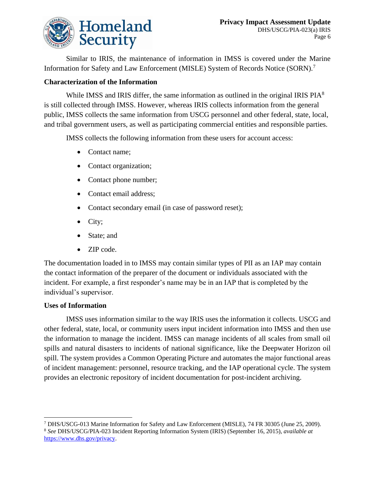

Similar to IRIS, the maintenance of information in IMSS is covered under the Marine Information for Safety and Law Enforcement (MISLE) System of Records Notice (SORN).<sup>7</sup>

### **Characterization of the Information**

While IMSS and IRIS differ, the same information as outlined in the original IRIS PIA<sup>8</sup> is still collected through IMSS. However, whereas IRIS collects information from the general public, IMSS collects the same information from USCG personnel and other federal, state, local, and tribal government users, as well as participating commercial entities and responsible parties.

IMSS collects the following information from these users for account access:

- Contact name;
- Contact organization;
- Contact phone number;
- Contact email address;
- Contact secondary email (in case of password reset);
- City;
- State; and
- ZIP code.

The documentation loaded in to IMSS may contain similar types of PII as an IAP may contain the contact information of the preparer of the document or individuals associated with the incident. For example, a first responder's name may be in an IAP that is completed by the individual's supervisor.

#### **Uses of Information**

IMSS uses information similar to the way IRIS uses the information it collects. USCG and other federal, state, local, or community users input incident information into IMSS and then use the information to manage the incident. IMSS can manage incidents of all scales from small oil spills and natural disasters to incidents of national significance, like the Deepwater Horizon oil spill. The system provides a Common Operating Picture and automates the major functional areas of incident management: personnel, resource tracking, and the IAP operational cycle. The system provides an electronic repository of incident documentation for post-incident archiving.

<sup>1</sup> <sup>7</sup> DHS/USCG-013 Marine Information for Safety and Law Enforcement (MISLE), 74 FR 30305 (June 25, 2009).

<sup>8</sup> *See* DHS/USCG/PIA-023 Incident Reporting Information System (IRIS) (September 16, 2015), *available at* [https://www.dhs.gov/privacy.](https://www.dhs.gov/privacy)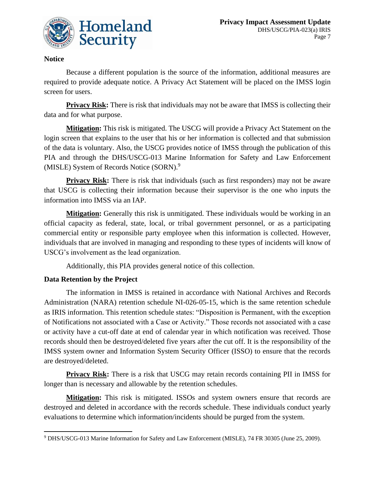

## **Notice**

Because a different population is the source of the information, additional measures are required to provide adequate notice. A Privacy Act Statement will be placed on the IMSS login screen for users.

**Privacy Risk:** There is risk that individuals may not be aware that IMSS is collecting their data and for what purpose.

**Mitigation:** This risk is mitigated. The USCG will provide a Privacy Act Statement on the login screen that explains to the user that his or her information is collected and that submission of the data is voluntary. Also, the USCG provides notice of IMSS through the publication of this PIA and through the DHS/USCG-013 Marine Information for Safety and Law Enforcement (MISLE) System of Records Notice (SORN). 9

**Privacy Risk:** There is risk that individuals (such as first responders) may not be aware that USCG is collecting their information because their supervisor is the one who inputs the information into IMSS via an IAP.

**Mitigation:** Generally this risk is unmitigated. These individuals would be working in an official capacity as federal, state, local, or tribal government personnel, or as a participating commercial entity or responsible party employee when this information is collected. However, individuals that are involved in managing and responding to these types of incidents will know of USCG's involvement as the lead organization.

Additionally, this PIA provides general notice of this collection.

## **Data Retention by the Project**

The information in IMSS is retained in accordance with National Archives and Records Administration (NARA) retention schedule NI-026-05-15, which is the same retention schedule as IRIS information. This retention schedule states: "Disposition is Permanent, with the exception of Notifications not associated with a Case or Activity." Those records not associated with a case or activity have a cut-off date at end of calendar year in which notification was received. Those records should then be destroyed/deleted five years after the cut off. It is the responsibility of the IMSS system owner and Information System Security Officer (ISSO) to ensure that the records are destroyed/deleted.

**Privacy Risk:** There is a risk that USCG may retain records containing PII in IMSS for longer than is necessary and allowable by the retention schedules.

**Mitigation:** This risk is mitigated. ISSOs and system owners ensure that records are destroyed and deleted in accordance with the records schedule. These individuals conduct yearly evaluations to determine which information/incidents should be purged from the system.

 $\overline{a}$ <sup>9</sup> DHS/USCG-013 Marine Information for Safety and Law Enforcement (MISLE), 74 FR 30305 (June 25, 2009).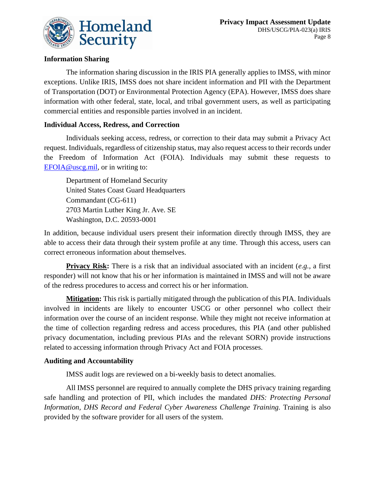

## **Information Sharing**

The information sharing discussion in the IRIS PIA generally applies to IMSS, with minor exceptions. Unlike IRIS, IMSS does not share incident information and PII with the Department of Transportation (DOT) or Environmental Protection Agency (EPA). However, IMSS does share information with other federal, state, local, and tribal government users, as well as participating commercial entities and responsible parties involved in an incident.

## **Individual Access, Redress, and Correction**

Individuals seeking access, redress, or correction to their data may submit a Privacy Act request. Individuals, regardless of citizenship status, may also request access to their records under the Freedom of Information Act (FOIA). Individuals may submit these requests to [EFOIA@uscg.mil,](mailto:EFOIA@uscg.mil) or in writing to:

Department of Homeland Security United States Coast Guard Headquarters Commandant (CG-611) 2703 Martin Luther King Jr. Ave. SE Washington, D.C. 20593-0001

In addition, because individual users present their information directly through IMSS, they are able to access their data through their system profile at any time. Through this access, users can correct erroneous information about themselves.

**Privacy Risk:** There is a risk that an individual associated with an incident (*e.g.*, a first responder) will not know that his or her information is maintained in IMSS and will not be aware of the redress procedures to access and correct his or her information.

**Mitigation:** This risk is partially mitigated through the publication of this PIA. Individuals involved in incidents are likely to encounter USCG or other personnel who collect their information over the course of an incident response. While they might not receive information at the time of collection regarding redress and access procedures, this PIA (and other published privacy documentation, including previous PIAs and the relevant SORN) provide instructions related to accessing information through Privacy Act and FOIA processes.

## **Auditing and Accountability**

IMSS audit logs are reviewed on a bi-weekly basis to detect anomalies.

All IMSS personnel are required to annually complete the DHS privacy training regarding safe handling and protection of PII, which includes the mandated *DHS: Protecting Personal Information, DHS Record and Federal Cyber Awareness Challenge Training.* Training is also provided by the software provider for all users of the system.